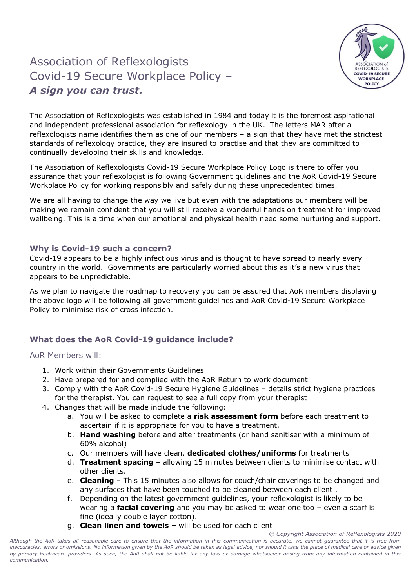## Association of Reflexologists Covid-19 Secure Workplace Policy – *A sign you can trust.*



The Association of Reflexologists was established in 1984 and today it is the foremost aspirational and independent professional association for reflexology in the UK. The letters MAR after a reflexologists name identifies them as one of our members – a sign that they have met the strictest standards of reflexology practice, they are insured to practise and that they are committed to continually developing their skills and knowledge.

The Association of Reflexologists Covid-19 Secure Workplace Policy Logo is there to offer you assurance that your reflexologist is following Government guidelines and the AoR Covid-19 Secure Workplace Policy for working responsibly and safely during these unprecedented times.

We are all having to change the way we live but even with the adaptations our members will be making we remain confident that you will still receive a wonderful hands on treatment for improved wellbeing. This is a time when our emotional and physical health need some nurturing and support.

## **Why is Covid-19 such a concern?**

Covid-19 appears to be a highly infectious virus and is thought to have spread to nearly every country in the world. Governments are particularly worried about this as it's a new virus that appears to be unpredictable.

As we plan to navigate the roadmap to recovery you can be assured that AoR members displaying the above logo will be following all government guidelines and AoR Covid-19 Secure Workplace Policy to minimise risk of cross infection.

## **What does the AoR Covid-19 guidance include?**

## AoR Members will:

- 1. Work within their Governments Guidelines
- 2. Have prepared for and complied with the AoR Return to work document
- 3. Comply with the AoR Covid-19 Secure Hygiene Guidelines details strict hygiene practices for the therapist. You can request to see a full copy from your therapist
- 4. Changes that will be made include the following:
	- a. You will be asked to complete a **risk assessment form** before each treatment to ascertain if it is appropriate for you to have a treatment.
	- b. **Hand washing** before and after treatments (or hand sanitiser with a minimum of 60% alcohol)
	- c. Our members will have clean, **dedicated clothes/uniforms** for treatments
	- d. **Treatment spacing** allowing 15 minutes between clients to minimise contact with other clients.
	- e. **Cleaning**  This 15 minutes also allows for couch/chair coverings to be changed and any surfaces that have been touched to be cleaned between each client .
	- f. Depending on the latest government guidelines, your reflexologist is likely to be wearing a **facial covering** and you may be asked to wear one too – even a scarf is fine (ideally double layer cotton).
	- g. **Clean linen and towels –** will be used for each client

*© Copyright Association of Reflexologists 2020 Although the AoR takes all reasonable care to ensure that the information in this communication is accurate, we cannot guarantee that it is free from*  inaccuracies, errors or omissions. No information given by the AoR should be taken as legal advice, nor should it take the place of medical care or advice given *by primary healthcare providers. As such, the AoR shall not be liable for any loss or damage whatsoever arising from any information contained in this communication.*